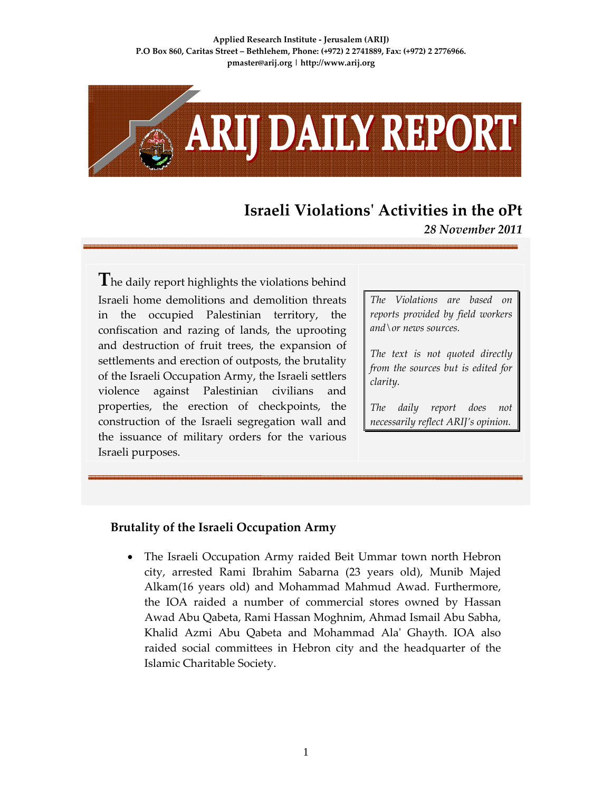**Applied Research Institute ‐ Jerusalem (ARIJ) P.O Box 860, Caritas Street – Bethlehem, Phone: (+972) 2 2741889, Fax: (+972) 2 2776966. pmaster@arij.org | http://www.arij.org**



## **Israeli Violationsʹ Activities in the oPt**

*28 November 2011*

**T**he daily report highlights the violations behind Israeli home demolitions and demolition threats in the occupied Palestinian territory, the confiscation and razing of lands, the uprooting and destruction of fruit trees, the expansion of settlements and erection of outposts, the brutality of the Israeli Occupation Army, the Israeli settlers violence against Palestinian civilians and properties, the erection of checkpoints, the construction of the Israeli segregation wall and the issuance of military orders for the various Israeli purposes.

*The Violations are based on reports provided by field workers and\or news sources.*

*The text is not quoted directly from the sources but is edited for clarity.*

*The daily report does not necessarily reflect ARIJ's opinion.*

## **Brutality of the Israeli Occupation Army**

• The Israeli Occupation Army raided Beit Ummar town north Hebron city, arrested Rami Ibrahim Sabarna (23 years old), Munib Majed Alkam(16 years old) and Mohammad Mahmud Awad. Furthermore, the IOA raided a number of commercial stores owned by Hassan Awad Abu Qabeta, Rami Hassan Moghnim, Ahmad Ismail Abu Sabha, Khalid Azmi Abu Qabeta and Mohammad Alaʹ Ghayth. IOA also raided social committees in Hebron city and the headquarter of the Islamic Charitable Society.